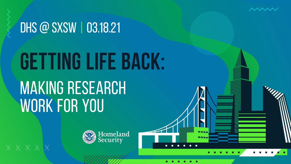

# GETTING LIFE BACK:

 $\wedge\wedge\wedge\wedge\wedge$ 

## **MAKING RESEARCH WORK FOR YOU**

**XXXXXX** 

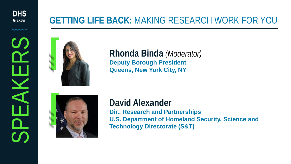**DHS** @ SXSW

 $\sim\sim\sim$ 

SPEAKERS

AK

#### **GETTING LIFE BACK:** MAKING RESEARCH WORK FOR YOU



**Rhonda Binda** *(Moderator)*  **Deputy Borough President Queens, New York City, NY** 



**David Alexander Dir., Research and Partnerships U.S. Department of Homeland Security, Science and Technology Directorate (S&T)**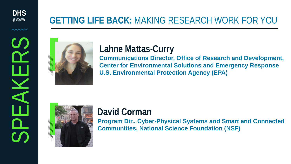**DHS @ SXSW**

 $\sim\sim\sim$ 

SPEAKERS

### **GETTING LIFE BACK:** MAKING RESEARCH WORK FOR YOU



### **Lahne Mattas-Curry**

**Communications Director, Office of Research and Development, Center for Environmental Solutions and Emergency Response U.S. Environmental Protection Agency (EPA)**



#### **David Corman**

**Program Dir., Cyber-Physical Systems and Smart and Connected Communities, National Science Foundation (NSF)**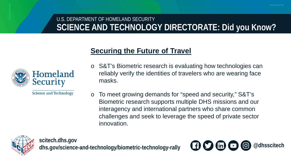#### U.S. DEPARTMENT OF HOMELAND SECURITY **SCIENCE AND TECHNOLOGY DIRECTORATE: Did you Know?**

#### **Securing the Future of Travel**



**Science and Technology** 

- o S&T's Biometric research is evaluating how technologies can reliably verify the identities of travelers who are wearing face masks.
- o To meet growing demands for "speed and security," S&T's Biometric research supports multiple DHS missions and our interagency and international partners who share common challenges and seek to leverage the speed of private sector innovation.



**scitech.dhs.gov** dhs.gov/science-and-technology/biometric-technology-rally **choose in a conduct of the and-technology/biometric-technology-rally** 

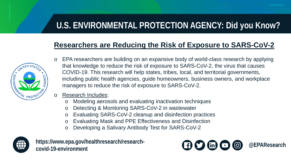#### **U.S. ENVIRONMENTAL PROTECTION AGENCY: Did you Know?**

#### **Researchers are Reducing the Risk of Exposure to SARS-CoV-2**



- EPA researchers are building on an expansive body of world-class research by applying that knowledge to reduce the risk of exposure to SARS-CoV-2, the virus that causes COVID-19. This research will help states, tribes, local, and territorial governments, including public health agencies, guide homeowners, business owners, and workplace managers to reduce the risk of exposure to SARS-CoV-2.
- o Research Includes:
	- o Modeling aerosols and evaluating inactivation techniques
	- o Detecting & Monitoring SARS-CoV-2 in wastewater
	- o Evaluating SARS-CoV-2 cleanup and disinfection practices
	- o Evaluating Mask and PPE Effectiveness and Disinfection
	- o Developing a Salivary Antibody Test for SARS-CoV-2



**https://www.epa.gov/healthresearch/research-**

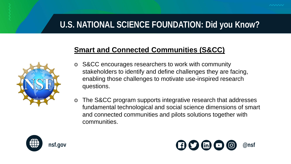#### **U.S. NATIONAL SCIENCE FOUNDATION: Did you Know?**

#### **Smart and Connected Communities (S&CC)**



- o S&CC encourages researchers to work with community stakeholders to identify and define challenges they are facing, enabling those challenges to motivate use-inspired research questions.
- o The S&CC program supports integrative research that addresses fundamental technological and social science dimensions of smart and connected communities and pilots solutions together with communities.



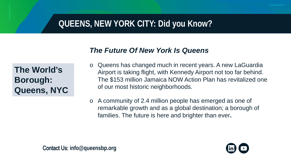#### **QUEENS, NEW YORK CITY: Did you Know?**

#### *The Future Of New York Is Queens*

**The World's Borough: Queens, NYC**

- o Queens has changed much in recent years. A new LaGuardia Airport is taking flight, with Kennedy Airport not too far behind. The \$153 million Jamaica NOW Action Plan has revitalized one of our most historic neighborhoods.
- o A community of 2.4 million people has emerged as one of remarkable growth and as a global destination; a borough of families. The future is here and brighter than ever**.**